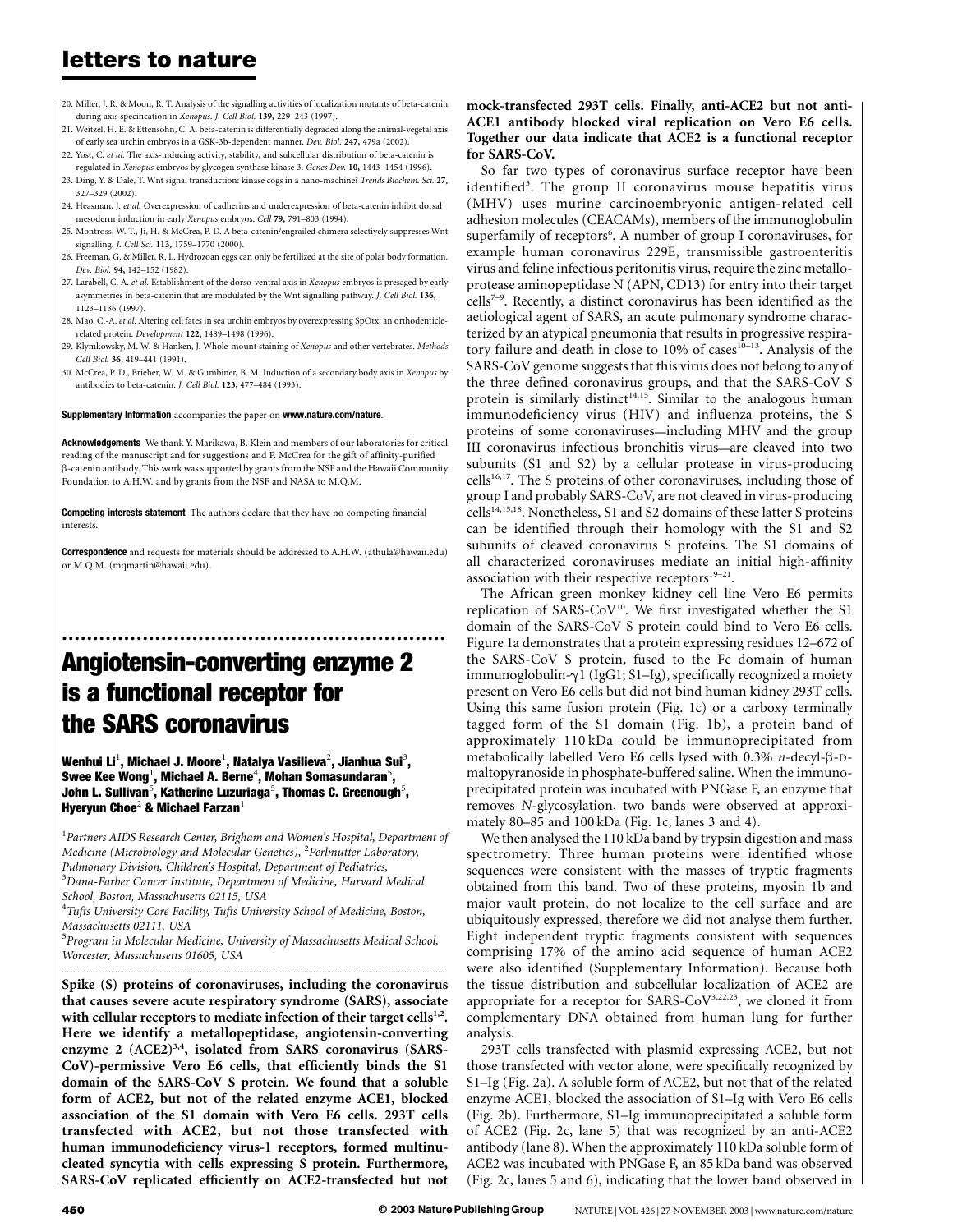- 20. Miller, J. R. & Moon, R. T. Analysis of the signalling activities of localization mutants of beta-catenin during axis specification in Xenopus. J. Cell Biol. 139, 229–243 (1997).
- 21. Weitzel, H. E. & Ettensohn, C. A. beta-catenin is differentially degraded along the animal-vegetal axis of early sea urchin embryos in a GSK-3b-dependent manner. Dev. Biol. 247, 479a (2002).
- 22. Yost, C. et al. The axis-inducing activity, stability, and subcellular distribution of beta-catenin is regulated in Xenopus embryos by glycogen synthase kinase 3. Genes Dev. 10, 1443-1454 (1996).
- 23. Ding, Y. & Dale, T. Wnt signal transduction: kinase cogs in a nano-machine? Trends Biochem. Sci. 27, 327–329 (2002).
- 24. Heasman, J. et al. Overexpression of cadherins and underexpression of beta-catenin inhibit dorsal mesoderm induction in early Xenopus embryos. Cell 79, 791–803 (1994).
- 25. Montross, W. T., Ji, H. & McCrea, P. D. A beta-catenin/engrailed chimera selectively suppresses Wnt signalling. *I. Cell Sci.* 113, 1759-1770 (2000).
- 26. Freeman, G. & Miller, R. L. Hydrozoan eggs can only be fertilized at the site of polar body formation. Dev. Biol. 94, 142–152 (1982).
- 27. Larabell, C. A. et al. Establishment of the dorso-ventral axis in Xenopus embryos is presaged by early asymmetries in beta-catenin that are modulated by the Wnt signalling pathway. J. Cell Biol. 136, 1123–1136 (1997).
- 28. Mao, C.-A. et al. Altering cell fates in sea urchin embryos by overexpressing SpOtx, an orthodenticlerelated protein. Development 122, 1489–1498 (1996).
- 29. Klymkowsky, M. W. & Hanken, J. Whole-mount staining of Xenopus and other vertebrates. Methods Cell Biol. 36, 419–441 (1991).
- 30. McCrea, P. D., Brieher, W. M. & Gumbiner, B. M. Induction of a secondary body axis in Xenopus by antibodies to beta-catenin. J. Cell Biol. 123, 477–484 (1993).

#### Supplementary Information accompanies the paper on www.nature.com/nature.

Acknowledgements We thank Y. Marikawa, B. Klein and members of our laboratories for critical reading of the manuscript and for suggestions and P. McCrea for the gift of affinity-purified b-catenin antibody. This work was supported by grants from the NSF and the Hawaii Community Foundation to A.H.W. and by grants from the NSF and NASA to M.Q.M.

Competing interests statement The authors declare that they have no competing financial interests.

**Correspondence** and requests for materials should be addressed to A.H.W. (athula@hawaii.edu) or M.Q.M. (mqmartin@hawaii.edu).

# .............................................................. Angiotensin-converting enzyme 2 is a functional receptor for the SARS coronavirus

Wenhui Li $^1$ , Michael J. Moore $^1$ , Natalya Vasilieva $^2$ , Jianhua Sui $^3$ , Swee Kee Wong<sup>1</sup>, Michael A. Berne<sup>4</sup>, Mohan Somasundaran<sup>5</sup>, John L. Sullivan $^5$ , Katherine Luzuriaga $^5$ , Thomas C. Greenough $^5$ , Hyeryun Choe<sup>2</sup> & Michael Farzan<sup>1</sup>

 $^{\rm 1}$ Partners AIDS Research Center, Brigham and Women's Hospital, Department of Medicine (Microbiology and Molecular Genetics), <sup>2</sup>Perlmutter Laboratory, Pulmonary Division, Children's Hospital, Department of Pediatrics, <sup>3</sup>Dana-Farber Cancer Institute, Department of Medicine, Harvard Medical School, Boston, Massachusetts 02115, USA

<sup>4</sup>Tufts University Core Facility, Tufts University School of Medicine, Boston, Massachusetts 02111, USA

<sup>5</sup>Program in Molecular Medicine, University of Massachusetts Medical School, Worcester, Massachusetts 01605, USA .............................................................................................................................................................................

Spike (S) proteins of coronaviruses, including the coronavirus that causes severe acute respiratory syndrome (SARS), associate with cellular receptors to mediate infection of their target cells $1,2$ . Here we identify a metallopeptidase, angiotensin-converting enzyme 2 (ACE2)<sup>3,4</sup>, isolated from SARS coronavirus (SARS-CoV)-permissive Vero E6 cells, that efficiently binds the S1 domain of the SARS-CoV S protein. We found that a soluble form of ACE2, but not of the related enzyme ACE1, blocked association of the S1 domain with Vero E6 cells. 293T cells transfected with ACE2, but not those transfected with human immunodeficiency virus-1 receptors, formed multinucleated syncytia with cells expressing S protein. Furthermore, SARS-CoV replicated efficiently on ACE2-transfected but not

### mock-transfected 293T cells. Finally, anti-ACE2 but not anti-ACE1 antibody blocked viral replication on Vero E6 cells. Together our data indicate that ACE2 is a functional receptor for SARS-CoV.

So far two types of coronavirus surface receptor have been identified<sup>5</sup>. The group II coronavirus mouse hepatitis virus (MHV) uses murine carcinoembryonic antigen-related cell adhesion molecules (CEACAMs), members of the immunoglobulin superfamily of receptors<sup>6</sup>. A number of group I coronaviruses, for example human coronavirus 229E, transmissible gastroenteritis virus and feline infectious peritonitis virus, require the zinc metalloprotease aminopeptidase N (APN, CD13) for entry into their target  $cells^{7-9}$ . Recently, a distinct coronavirus has been identified as the aetiological agent of SARS, an acute pulmonary syndrome characterized by an atypical pneumonia that results in progressive respiratory failure and death in close to 10% of cases<sup>10-13</sup>. Analysis of the SARS-CoV genome suggests that this virus does not belong to any of the three defined coronavirus groups, and that the SARS-CoV S protein is similarly distinct<sup>14,15</sup>. Similar to the analogous human immunodeficiency virus (HIV) and influenza proteins, the S proteins of some coronaviruses—including MHV and the group III coronavirus infectious bronchitis virus—are cleaved into two subunits (S1 and S2) by a cellular protease in virus-producing  $cells<sup>16,17</sup>$ . The S proteins of other coronaviruses, including those of group I and probably SARS-CoV, are not cleaved in virus-producing cells<sup>14,15,18</sup>. Nonetheless, S1 and S2 domains of these latter S proteins can be identified through their homology with the S1 and S2 subunits of cleaved coronavirus S proteins. The S1 domains of all characterized coronaviruses mediate an initial high-affinity association with their respective receptors $19-21$ .

The African green monkey kidney cell line Vero E6 permits replication of SARS-CoV<sup>10</sup>. We first investigated whether the S1 domain of the SARS-CoV S protein could bind to Vero E6 cells. Figure 1a demonstrates that a protein expressing residues 12–672 of the SARS-CoV S protein, fused to the Fc domain of human immunoglobulin- $\gamma$ 1 (IgG1; S1–Ig), specifically recognized a moiety present on Vero E6 cells but did not bind human kidney 293T cells. Using this same fusion protein (Fig. 1c) or a carboxy terminally tagged form of the S1 domain (Fig. 1b), a protein band of approximately 110 kDa could be immunoprecipitated from metabolically labelled Vero E6 cells lysed with  $0.3\%$  *n*-decyl- $\beta$ -Dmaltopyranoside in phosphate-buffered saline. When the immunoprecipitated protein was incubated with PNGase F, an enzyme that removes N-glycosylation, two bands were observed at approximately 80–85 and 100 kDa (Fig. 1c, lanes 3 and 4).

We then analysed the 110 kDa band by trypsin digestion and mass spectrometry. Three human proteins were identified whose sequences were consistent with the masses of tryptic fragments obtained from this band. Two of these proteins, myosin 1b and major vault protein, do not localize to the cell surface and are ubiquitously expressed, therefore we did not analyse them further. Eight independent tryptic fragments consistent with sequences comprising 17% of the amino acid sequence of human ACE2 were also identified (Supplementary Information). Because both the tissue distribution and subcellular localization of ACE2 are appropriate for a receptor for SARS-CoV<sup>3,22,23</sup>, we cloned it from complementary DNA obtained from human lung for further analysis.

293T cells transfected with plasmid expressing ACE2, but not those transfected with vector alone, were specifically recognized by S1–Ig (Fig. 2a). A soluble form of ACE2, but not that of the related enzyme ACE1, blocked the association of S1–Ig with Vero E6 cells (Fig. 2b). Furthermore, S1–Ig immunoprecipitated a soluble form of ACE2 (Fig. 2c, lane 5) that was recognized by an anti-ACE2 antibody (lane 8). When the approximately 110 kDa soluble form of ACE2 was incubated with PNGase F, an 85 kDa band was observed (Fig. 2c, lanes 5 and 6), indicating that the lower band observed in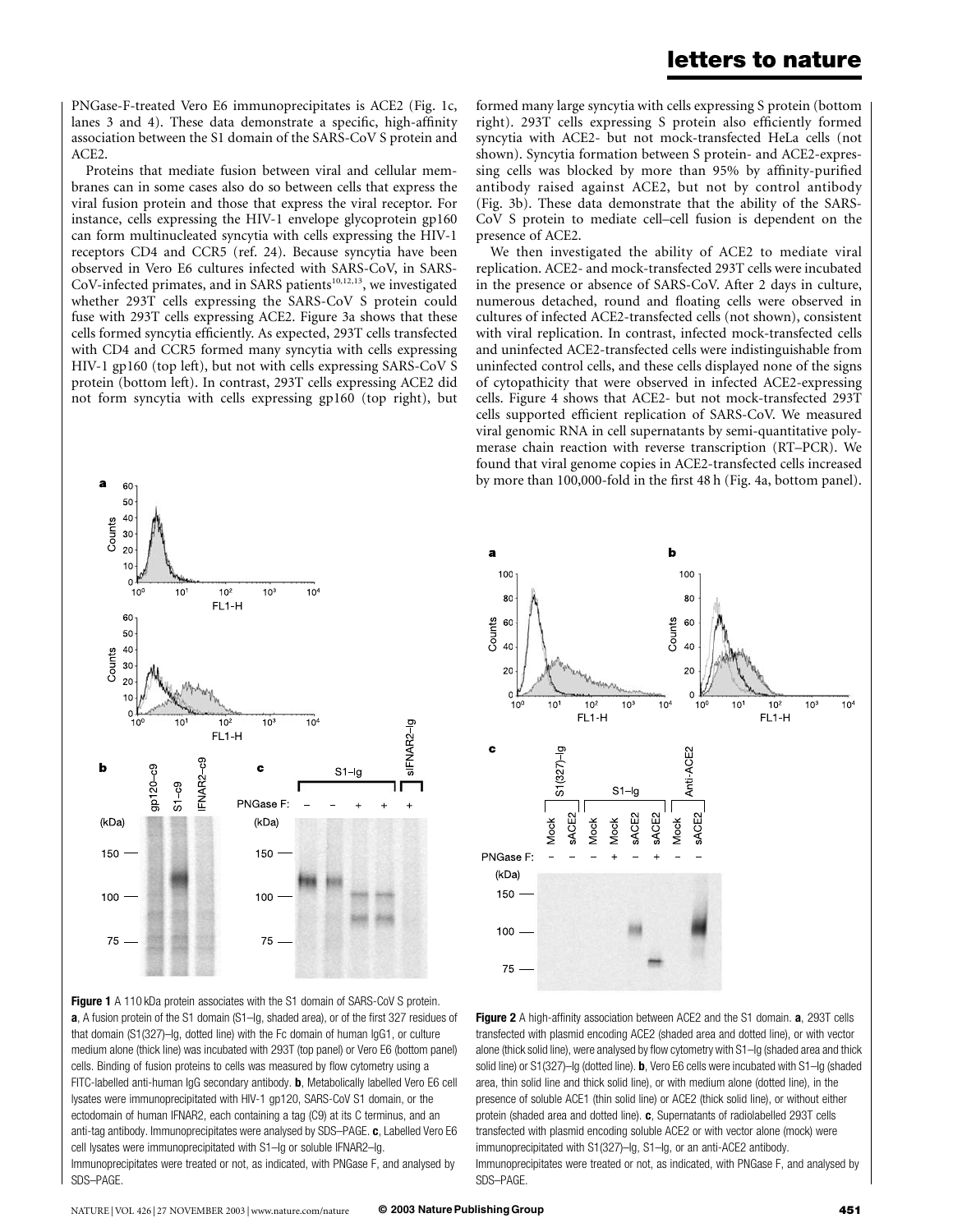PNGase-F-treated Vero E6 immunoprecipitates is ACE2 (Fig. 1c, lanes 3 and 4). These data demonstrate a specific, high-affinity association between the S1 domain of the SARS-CoV S protein and ACE2.

Proteins that mediate fusion between viral and cellular membranes can in some cases also do so between cells that express the viral fusion protein and those that express the viral receptor. For instance, cells expressing the HIV-1 envelope glycoprotein gp160 can form multinucleated syncytia with cells expressing the HIV-1 receptors CD4 and CCR5 (ref. 24). Because syncytia have been observed in Vero E6 cultures infected with SARS-CoV, in SARS-CoV-infected primates, and in SARS patients<sup>10,12,13</sup>, we investigated whether 293T cells expressing the SARS-CoV S protein could fuse with 293T cells expressing ACE2. Figure 3a shows that these cells formed syncytia efficiently. As expected, 293T cells transfected with CD4 and CCR5 formed many syncytia with cells expressing HIV-1 gp160 (top left), but not with cells expressing SARS-CoV S protein (bottom left). In contrast, 293T cells expressing ACE2 did not form syncytia with cells expressing gp160 (top right), but



Figure 1 A 110 kDa protein associates with the S1 domain of SARS-CoV S protein. a, A fusion protein of the S1 domain (S1-Ig, shaded area), or of the first 327 residues of that domain (S1(327)–Ig, dotted line) with the Fc domain of human IgG1, or culture medium alone (thick line) was incubated with 293T (top panel) or Vero E6 (bottom panel) cells. Binding of fusion proteins to cells was measured by flow cytometry using a FITC-labelled anti-human IgG secondary antibody. b, Metabolically labelled Vero E6 cell lysates were immunoprecipitated with HIV-1 gp120, SARS-CoV S1 domain, or the ectodomain of human IFNAR2, each containing a tag (C9) at its C terminus, and an anti-tag antibody. Immunoprecipitates were analysed by SDS-PAGE. c, Labelled Vero E6 cell lysates were immunoprecipitated with S1–Ig or soluble IFNAR2–Ig. Immunoprecipitates were treated or not, as indicated, with PNGase F, and analysed by SDS–PAGE.

formed many large syncytia with cells expressing S protein (bottom right). 293T cells expressing S protein also efficiently formed syncytia with ACE2- but not mock-transfected HeLa cells (not shown). Syncytia formation between S protein- and ACE2-expressing cells was blocked by more than 95% by affinity-purified antibody raised against ACE2, but not by control antibody (Fig. 3b). These data demonstrate that the ability of the SARS-CoV S protein to mediate cell–cell fusion is dependent on the presence of ACE2.

We then investigated the ability of ACE2 to mediate viral replication. ACE2- and mock-transfected 293T cells were incubated in the presence or absence of SARS-CoV. After 2 days in culture, numerous detached, round and floating cells were observed in cultures of infected ACE2-transfected cells (not shown), consistent with viral replication. In contrast, infected mock-transfected cells and uninfected ACE2-transfected cells were indistinguishable from uninfected control cells, and these cells displayed none of the signs of cytopathicity that were observed in infected ACE2-expressing cells. Figure 4 shows that ACE2- but not mock-transfected 293T cells supported efficient replication of SARS-CoV. We measured viral genomic RNA in cell supernatants by semi-quantitative polymerase chain reaction with reverse transcription (RT–PCR). We found that viral genome copies in ACE2-transfected cells increased by more than 100,000-fold in the first 48 h (Fig. 4a, bottom panel).



Figure 2 A high-affinity association between ACE2 and the S1 domain. a, 293T cells transfected with plasmid encoding ACE2 (shaded area and dotted line), or with vector alone (thick solid line), were analysed by flow cytometry with S1–Ig (shaded area and thick solid line) or S1(327)–Ig (dotted line). **, Vero E6 cells were incubated with S1–Ig (shaded** area, thin solid line and thick solid line), or with medium alone (dotted line), in the presence of soluble ACE1 (thin solid line) or ACE2 (thick solid line), or without either protein (shaded area and dotted line). c, Supernatants of radiolabelled 293T cells transfected with plasmid encoding soluble ACE2 or with vector alone (mock) were immunoprecipitated with S1(327)-Ig, S1-Ig, or an anti-ACE2 antibody. Immunoprecipitates were treated or not, as indicated, with PNGase F, and analysed by SDS–PAGE.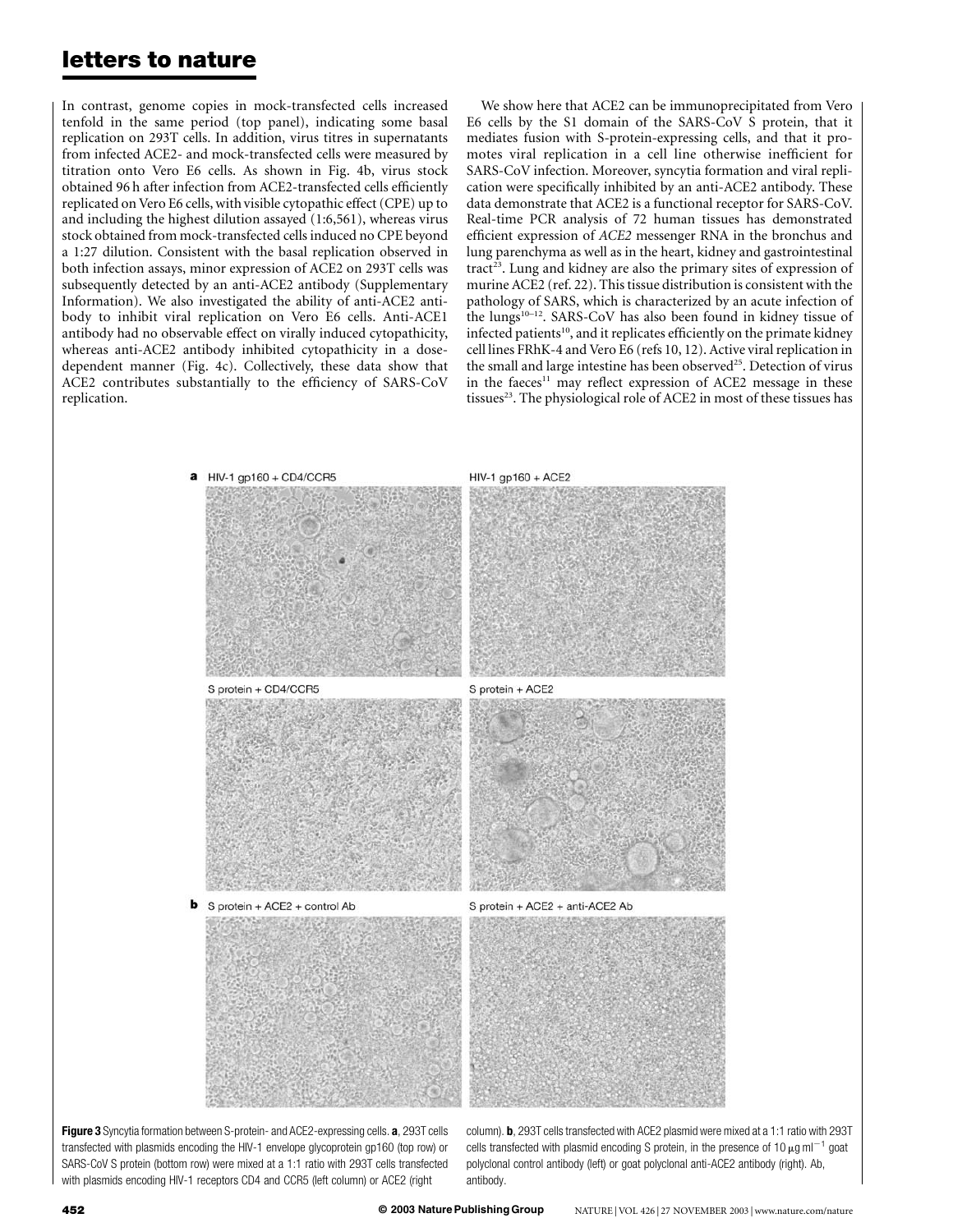In contrast, genome copies in mock-transfected cells increased tenfold in the same period (top panel), indicating some basal replication on 293T cells. In addition, virus titres in supernatants from infected ACE2- and mock-transfected cells were measured by titration onto Vero E6 cells. As shown in Fig. 4b, virus stock obtained 96 h after infection from ACE2-transfected cells efficiently replicated on Vero E6 cells, with visible cytopathic effect (CPE) up to and including the highest dilution assayed (1:6,561), whereas virus stock obtained from mock-transfected cells induced no CPE beyond a 1:27 dilution. Consistent with the basal replication observed in both infection assays, minor expression of ACE2 on 293T cells was subsequently detected by an anti-ACE2 antibody (Supplementary Information). We also investigated the ability of anti-ACE2 antibody to inhibit viral replication on Vero E6 cells. Anti-ACE1 antibody had no observable effect on virally induced cytopathicity, whereas anti-ACE2 antibody inhibited cytopathicity in a dosedependent manner (Fig. 4c). Collectively, these data show that ACE2 contributes substantially to the efficiency of SARS-CoV replication.

We show here that ACE2 can be immunoprecipitated from Vero E6 cells by the S1 domain of the SARS-CoV S protein, that it mediates fusion with S-protein-expressing cells, and that it promotes viral replication in a cell line otherwise inefficient for SARS-CoV infection. Moreover, syncytia formation and viral replication were specifically inhibited by an anti-ACE2 antibody. These data demonstrate that ACE2 is a functional receptor for SARS-CoV. Real-time PCR analysis of 72 human tissues has demonstrated efficient expression of ACE2 messenger RNA in the bronchus and lung parenchyma as well as in the heart, kidney and gastrointestinal  $\text{tract}^{23}$ . Lung and kidney are also the primary sites of expression of murine ACE2 (ref. 22). This tissue distribution is consistent with the pathology of SARS, which is characterized by an acute infection of the lungs<sup>10-12</sup>. SARS-CoV has also been found in kidney tissue of infected patients<sup>10</sup>, and it replicates efficiently on the primate kidney cell lines FRhK-4 and Vero E6 (refs 10, 12). Active viral replication in the small and large intestine has been observed<sup>25</sup>. Detection of virus in the faeces<sup>11</sup> may reflect expression of ACE2 message in these tissues<sup>23</sup>. The physiological role of ACE2 in most of these tissues has



Figure 3 Syncytia formation between S-protein- and ACE2-expressing cells. a, 293T cells transfected with plasmids encoding the HIV-1 envelope glycoprotein gp160 (top row) or SARS-CoV S protein (bottom row) were mixed at a 1:1 ratio with 293T cells transfected with plasmids encoding HIV-1 receptors CD4 and CCR5 (left column) or ACE2 (right

column). **b**, 293T cells transfected with ACE2 plasmid were mixed at a 1:1 ratio with 293T cells transfected with plasmid encoding S protein, in the presence of 10  $\mu$ g ml<sup>-1</sup> goat polyclonal control antibody (left) or goat polyclonal anti-ACE2 antibody (right). Ab, antibody.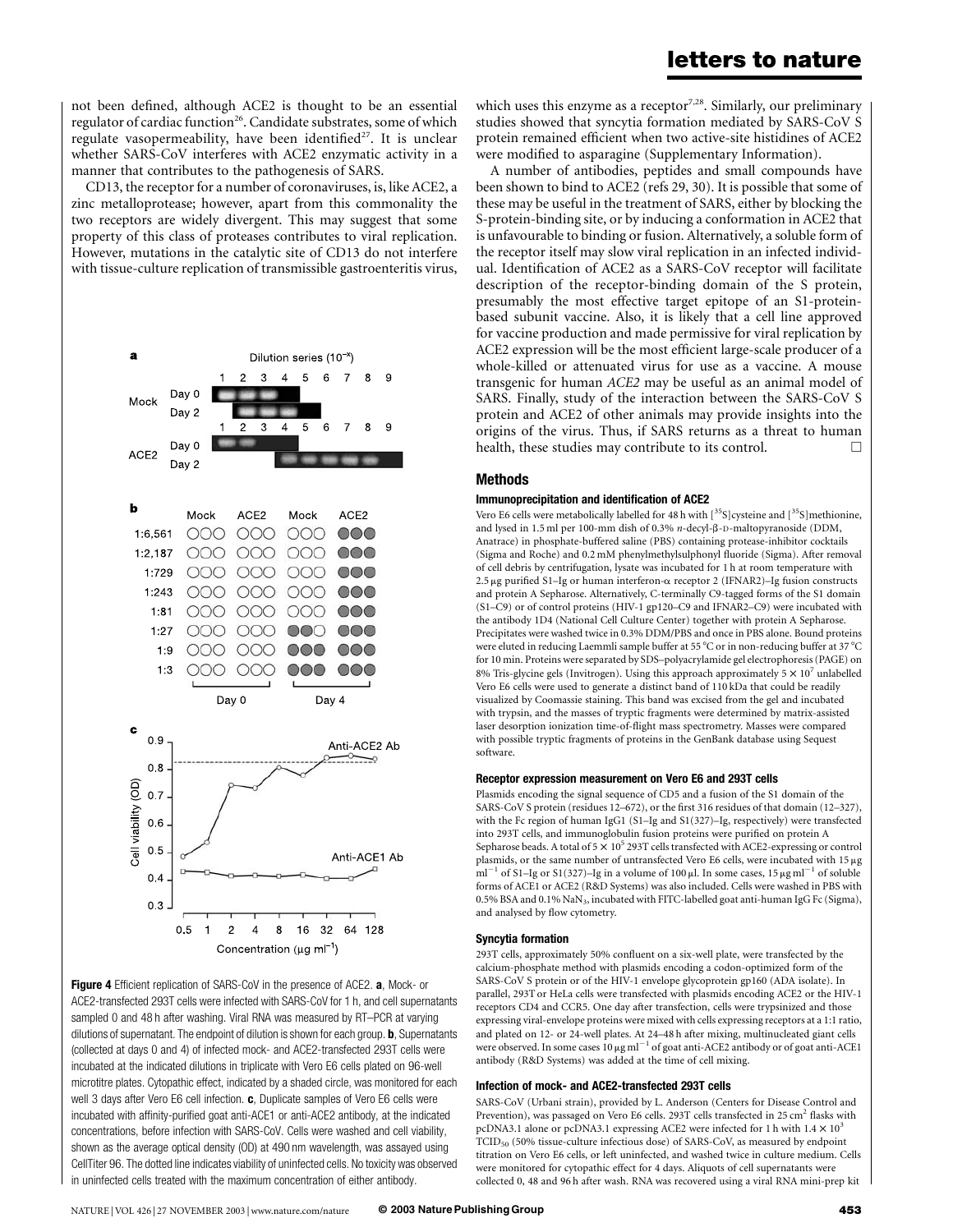not been defined, although ACE2 is thought to be an essential regulator of cardiac function<sup>26</sup>. Candidate substrates, some of which regulate vasopermeability, have been identified<sup>27</sup>. It is unclear whether SARS-CoV interferes with ACE2 enzymatic activity in a manner that contributes to the pathogenesis of SARS.

CD13, the receptor for a number of coronaviruses, is, like ACE2, a zinc metalloprotease; however, apart from this commonality the two receptors are widely divergent. This may suggest that some property of this class of proteases contributes to viral replication. However, mutations in the catalytic site of CD13 do not interfere with tissue-culture replication of transmissible gastroenteritis virus,





which uses this enzyme as a receptor<sup>7,28</sup>. Similarly, our preliminary studies showed that syncytia formation mediated by SARS-CoV S protein remained efficient when two active-site histidines of ACE2 were modified to asparagine (Supplementary Information).

A number of antibodies, peptides and small compounds have been shown to bind to ACE2 (refs 29, 30). It is possible that some of these may be useful in the treatment of SARS, either by blocking the S-protein-binding site, or by inducing a conformation in ACE2 that is unfavourable to binding or fusion. Alternatively, a soluble form of the receptor itself may slow viral replication in an infected individual. Identification of ACE2 as a SARS-CoV receptor will facilitate description of the receptor-binding domain of the S protein, presumably the most effective target epitope of an S1-proteinbased subunit vaccine. Also, it is likely that a cell line approved for vaccine production and made permissive for viral replication by ACE2 expression will be the most efficient large-scale producer of a whole-killed or attenuated virus for use as a vaccine. A mouse transgenic for human ACE2 may be useful as an animal model of SARS. Finally, study of the interaction between the SARS-CoV S protein and ACE2 of other animals may provide insights into the origins of the virus. Thus, if SARS returns as a threat to human health, these studies may contribute to its control.  $\Box$ 

### Methods

#### Immunoprecipitation and identification of ACE2

Vero E6 cells were metabolically labelled for 48 h with  $[^{35}{\rm S}]$ cysteine and  $[^{35}{\rm S}]$ methionine, and lysed in 1.5 ml per 100-mm dish of 0.3% n-decyl-ß-D-maltopyranoside (DDM, Anatrace) in phosphate-buffered saline (PBS) containing protease-inhibitor cocktails (Sigma and Roche) and 0.2 mM phenylmethylsulphonyl fluoride (Sigma). After removal of cell debris by centrifugation, lysate was incubated for 1 h at room temperature with 2.5 <sup>m</sup>g purified S1–Ig or human interferon-<sup>a</sup> receptor 2 (IFNAR2)–Ig fusion constructs and protein A Sepharose. Alternatively, C-terminally C9-tagged forms of the S1 domain (S1–C9) or of control proteins (HIV-1 gp120–C9 and IFNAR2–C9) were incubated with the antibody 1D4 (National Cell Culture Center) together with protein A Sepharose. Precipitates were washed twice in 0.3% DDM/PBS and once in PBS alone. Bound proteins were eluted in reducing Laemmli sample buffer at 55  $^{\circ}$ C or in non-reducing buffer at 37  $^{\circ}$ C for 10 min. Proteins were separated by SDS–polyacrylamide gel electrophoresis (PAGE) on 8% Tris-glycine gels (Invitrogen). Using this approach approximately  $5 \times 10^7$  unlabelled Vero E6 cells were used to generate a distinct band of 110 kDa that could be readily visualized by Coomassie staining. This band was excised from the gel and incubated with trypsin, and the masses of tryptic fragments were determined by matrix-assisted laser desorption ionization time-of-flight mass spectrometry. Masses were compared with possible tryptic fragments of proteins in the GenBank database using Sequest software.

#### Receptor expression measurement on Vero E6 and 293T cells

Plasmids encoding the signal sequence of CD5 and a fusion of the S1 domain of the SARS-CoV S protein (residues 12–672), or the first 316 residues of that domain (12–327), with the Fc region of human IgG1 (S1–Ig and S1(327)–Ig, respectively) were transfected into 293T cells, and immunoglobulin fusion proteins were purified on protein A Sepharose beads. A total of  $5 \times 10^5$  293T cells transfected with ACE2-expressing or control plasmids, or the same number of untransfected Vero E6 cells, were incubated with 15 <sup>m</sup>g ml<sup>-1</sup> of S1-Ig or S1(327)–Ig in a volume of 100  $\mu$ l. In some cases, 15  $\mu$ g ml<sup>-1</sup> of soluble forms of ACE1 or ACE2 (R&D Systems) was also included. Cells were washed in PBS with 0.5% BSA and 0.1% NaN3, incubated with FITC-labelled goat anti-human IgG Fc (Sigma), and analysed by flow cytometry.

#### Syncytia formation

293T cells, approximately 50% confluent on a six-well plate, were transfected by the calcium-phosphate method with plasmids encoding a codon-optimized form of the SARS-CoV S protein or of the HIV-1 envelope glycoprotein gp160 (ADA isolate). In parallel, 293T or HeLa cells were transfected with plasmids encoding ACE2 or the HIV-1 receptors CD4 and CCR5. One day after transfection, cells were trypsinized and those expressing viral-envelope proteins were mixed with cells expressing receptors at a 1:1 ratio, and plated on 12- or 24-well plates. At 24–48 h after mixing, multinucleated giant cells were observed. In some cases  $10 \mu g$  ml<sup>-1</sup> of goat anti-ACE2 antibody or of goat anti-ACE1 antibody (R&D Systems) was added at the time of cell mixing.

#### Infection of mock- and ACE2-transfected 293T cells

SARS-CoV (Urbani strain), provided by L. Anderson (Centers for Disease Control and Prevention), was passaged on Vero E6 cells. 293T cells transfected in 25 cm<sup>2</sup> flasks with pcDNA3.1 alone or pcDNA3.1 expressing ACE2 were infected for 1 h with  $1.4 \times 10^3$ TCID<sub>50</sub> (50% tissue-culture infectious dose) of SARS-CoV, as measured by endpoint titration on Vero E6 cells, or left uninfected, and washed twice in culture medium. Cells were monitored for cytopathic effect for 4 days. Aliquots of cell supernatants were collected 0, 48 and 96 h after wash. RNA was recovered using a viral RNA mini-prep kit